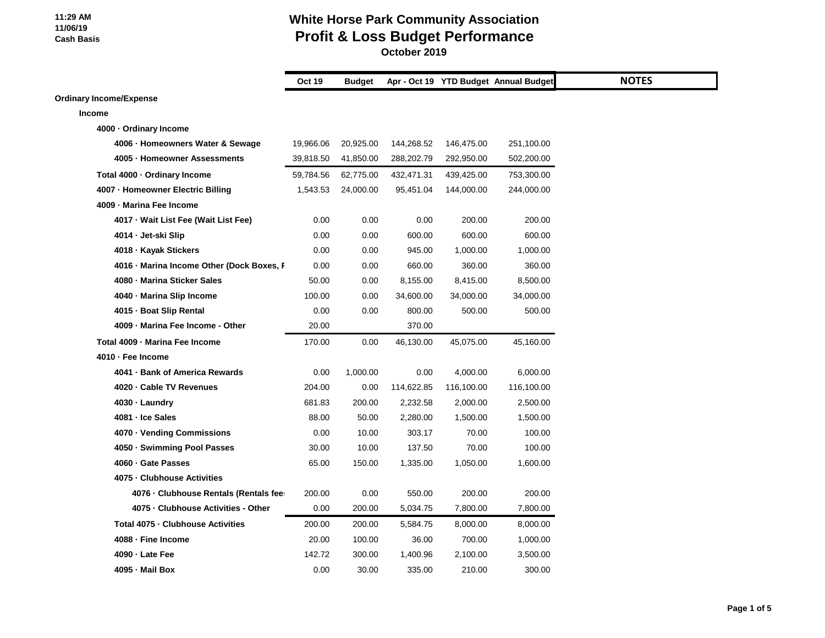|                                           | <b>Oct 19</b> | <b>Budget</b> |            |            | Apr - Oct 19 YTD Budget Annual Budget |
|-------------------------------------------|---------------|---------------|------------|------------|---------------------------------------|
| <b>Ordinary Income/Expense</b>            |               |               |            |            |                                       |
| <b>Income</b>                             |               |               |            |            |                                       |
| 4000 - Ordinary Income                    |               |               |            |            |                                       |
| 4006 · Homeowners Water & Sewage          | 19,966.06     | 20,925.00     | 144,268.52 | 146,475.00 | 251,100.00                            |
| 4005 · Homeowner Assessments              | 39,818.50     | 41,850.00     | 288,202.79 | 292,950.00 | 502,200.00                            |
| Total 4000 · Ordinary Income              | 59,784.56     | 62,775.00     | 432,471.31 | 439,425.00 | 753,300.00                            |
| 4007 - Homeowner Electric Billing         | 1,543.53      | 24,000.00     | 95,451.04  | 144,000.00 | 244,000.00                            |
| 4009 - Marina Fee Income                  |               |               |            |            |                                       |
| 4017 · Wait List Fee (Wait List Fee)      | 0.00          | 0.00          | 0.00       | 200.00     | 200.00                                |
| 4014 - Jet-ski Slip                       | 0.00          | 0.00          | 600.00     | 600.00     | 600.00                                |
| 4018 · Kayak Stickers                     | 0.00          | 0.00          | 945.00     | 1,000.00   | 1,000.00                              |
| 4016 - Marina Income Other (Dock Boxes, F | 0.00          | 0.00          | 660.00     | 360.00     | 360.00                                |
| 4080 - Marina Sticker Sales               | 50.00         | 0.00          | 8,155.00   | 8,415.00   | 8,500.00                              |
| 4040 - Marina Slip Income                 | 100.00        | 0.00          | 34,600.00  | 34,000.00  | 34,000.00                             |
| 4015 - Boat Slip Rental                   | 0.00          | 0.00          | 800.00     | 500.00     | 500.00                                |
| 4009 - Marina Fee Income - Other          | 20.00         |               | 370.00     |            |                                       |
| Total 4009 - Marina Fee Income            | 170.00        | 0.00          | 46,130.00  | 45,075.00  | 45,160.00                             |
| 4010 - Fee Income                         |               |               |            |            |                                       |
| 4041 - Bank of America Rewards            | 0.00          | 1,000.00      | 0.00       | 4,000.00   | 6,000.00                              |
| 4020 · Cable TV Revenues                  | 204.00        | 0.00          | 114,622.85 | 116,100.00 | 116,100.00                            |
| 4030 · Laundry                            | 681.83        | 200.00        | 2,232.58   | 2,000.00   | 2,500.00                              |
| 4081 - Ice Sales                          | 88.00         | 50.00         | 2,280.00   | 1,500.00   | 1,500.00                              |
| 4070 · Vending Commissions                | 0.00          | 10.00         | 303.17     | 70.00      | 100.00                                |
| 4050 · Swimming Pool Passes               | 30.00         | 10.00         | 137.50     | 70.00      | 100.00                                |
| 4060 · Gate Passes                        | 65.00         | 150.00        | 1,335.00   | 1,050.00   | 1,600.00                              |
| 4075 - Clubhouse Activities               |               |               |            |            |                                       |
| 4076 · Clubhouse Rentals (Rentals fee:    | 200.00        | 0.00          | 550.00     | 200.00     | 200.00                                |
| 4075 - Clubhouse Activities - Other       | 0.00          | 200.00        | 5,034.75   | 7,800.00   | 7,800.00                              |
| Total 4075 - Clubhouse Activities         | 200.00        | 200.00        | 5,584.75   | 8,000.00   | 8,000.00                              |
| 4088 - Fine Income                        | 20.00         | 100.00        | 36.00      | 700.00     | 1,000.00                              |
| 4090 - Late Fee                           | 142.72        | 300.00        | 1,400.96   | 2,100.00   | 3,500.00                              |
| 4095 - Mail Box                           | 0.00          | 30.00         | 335.00     | 210.00     | 300.00                                |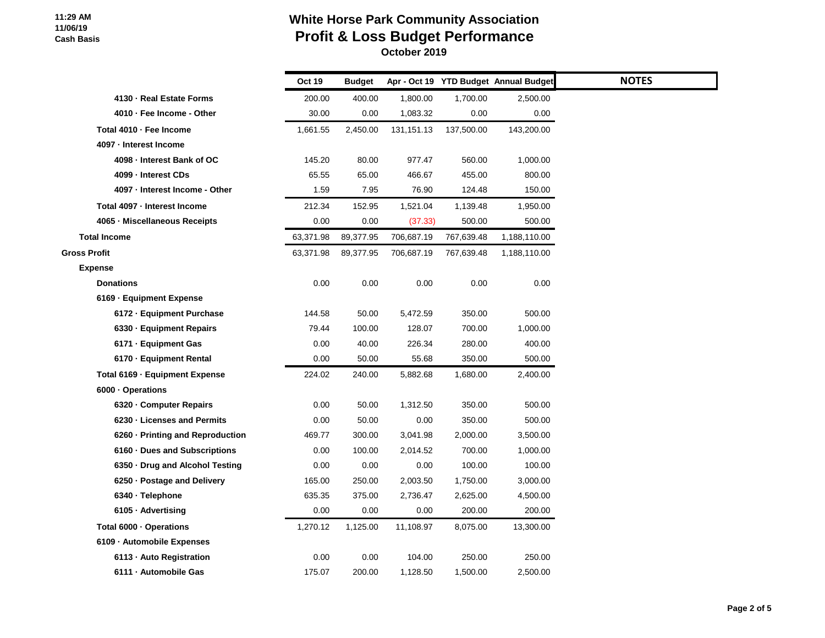|                                  | <b>Oct 19</b> | <b>Budget</b> |              |            | Apr - Oct 19 YTD Budget Annual Budget |  |
|----------------------------------|---------------|---------------|--------------|------------|---------------------------------------|--|
| 4130 - Real Estate Forms         | 200.00        | 400.00        | 1,800.00     | 1,700.00   | 2,500.00                              |  |
| 4010 - Fee Income - Other        | 30.00         | 0.00          | 1,083.32     | 0.00       | 0.00                                  |  |
| Total 4010 - Fee Income          | 1,661.55      | 2,450.00      | 131, 151. 13 | 137,500.00 | 143,200.00                            |  |
| 4097 - Interest Income           |               |               |              |            |                                       |  |
| 4098 - Interest Bank of OC       | 145.20        | 80.00         | 977.47       | 560.00     | 1,000.00                              |  |
| 4099 - Interest CDs              | 65.55         | 65.00         | 466.67       | 455.00     | 800.00                                |  |
| 4097 - Interest Income - Other   | 1.59          | 7.95          | 76.90        | 124.48     | 150.00                                |  |
| Total 4097 - Interest Income     | 212.34        | 152.95        | 1,521.04     | 1,139.48   | 1,950.00                              |  |
| 4065 - Miscellaneous Receipts    | 0.00          | 0.00          | (37.33)      | 500.00     | 500.00                                |  |
| <b>Total Income</b>              | 63,371.98     | 89,377.95     | 706,687.19   | 767,639.48 | 1,188,110.00                          |  |
| <b>Gross Profit</b>              | 63,371.98     | 89,377.95     | 706,687.19   | 767,639.48 | 1,188,110.00                          |  |
| <b>Expense</b>                   |               |               |              |            |                                       |  |
| <b>Donations</b>                 | 0.00          | 0.00          | 0.00         | 0.00       | 0.00                                  |  |
| 6169 - Equipment Expense         |               |               |              |            |                                       |  |
| 6172 - Equipment Purchase        | 144.58        | 50.00         | 5,472.59     | 350.00     | 500.00                                |  |
| 6330 · Equipment Repairs         | 79.44         | 100.00        | 128.07       | 700.00     | 1,000.00                              |  |
| 6171 - Equipment Gas             | 0.00          | 40.00         | 226.34       | 280.00     | 400.00                                |  |
| 6170 - Equipment Rental          | 0.00          | 50.00         | 55.68        | 350.00     | 500.00                                |  |
| Total 6169 - Equipment Expense   | 224.02        | 240.00        | 5,882.68     | 1,680.00   | 2,400.00                              |  |
| 6000 · Operations                |               |               |              |            |                                       |  |
| 6320 - Computer Repairs          | 0.00          | 50.00         | 1,312.50     | 350.00     | 500.00                                |  |
| 6230 - Licenses and Permits      | 0.00          | 50.00         | 0.00         | 350.00     | 500.00                                |  |
| 6260 - Printing and Reproduction | 469.77        | 300.00        | 3,041.98     | 2,000.00   | 3,500.00                              |  |
| 6160 · Dues and Subscriptions    | 0.00          | 100.00        | 2,014.52     | 700.00     | 1,000.00                              |  |
| 6350 Drug and Alcohol Testing    | 0.00          | 0.00          | 0.00         | 100.00     | 100.00                                |  |
| 6250 · Postage and Delivery      | 165.00        | 250.00        | 2,003.50     | 1,750.00   | 3,000.00                              |  |
| 6340 · Telephone                 | 635.35        | 375.00        | 2,736.47     | 2,625.00   | 4,500.00                              |  |
| 6105 · Advertising               | 0.00          | 0.00          | 0.00         | 200.00     | 200.00                                |  |
| Total 6000 · Operations          | 1,270.12      | 1,125.00      | 11,108.97    | 8,075.00   | 13,300.00                             |  |
| 6109 - Automobile Expenses       |               |               |              |            |                                       |  |
| 6113 - Auto Registration         | 0.00          | 0.00          | 104.00       | 250.00     | 250.00                                |  |
| 6111 - Automobile Gas            | 175.07        | 200.00        | 1,128.50     | 1,500.00   | 2,500.00                              |  |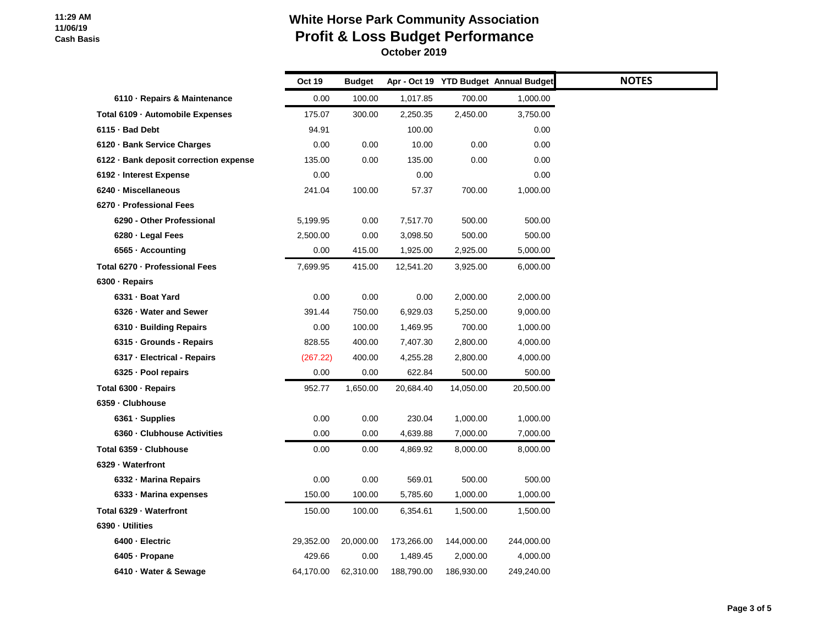|                                        | Oct 19    | <b>Budget</b> |            |            | Apr - Oct 19 YTD Budget Annual Budget | <b>NOTES</b> |
|----------------------------------------|-----------|---------------|------------|------------|---------------------------------------|--------------|
| 6110 · Repairs & Maintenance           | 0.00      | 100.00        | 1,017.85   | 700.00     | 1,000.00                              |              |
| Total 6109 - Automobile Expenses       | 175.07    | 300.00        | 2,250.35   | 2,450.00   | 3,750.00                              |              |
| 6115 · Bad Debt                        | 94.91     |               | 100.00     |            | 0.00                                  |              |
| 6120 · Bank Service Charges            | 0.00      | 0.00          | 10.00      | 0.00       | 0.00                                  |              |
| 6122 · Bank deposit correction expense | 135.00    | 0.00          | 135.00     | 0.00       | 0.00                                  |              |
| 6192 - Interest Expense                | 0.00      |               | 0.00       |            | 0.00                                  |              |
| 6240 - Miscellaneous                   | 241.04    | 100.00        | 57.37      | 700.00     | 1,000.00                              |              |
| 6270 - Professional Fees               |           |               |            |            |                                       |              |
| 6290 - Other Professional              | 5,199.95  | 0.00          | 7,517.70   | 500.00     | 500.00                                |              |
| 6280 · Legal Fees                      | 2,500.00  | 0.00          | 3,098.50   | 500.00     | 500.00                                |              |
| 6565 · Accounting                      | 0.00      | 415.00        | 1,925.00   | 2,925.00   | 5,000.00                              |              |
| Total 6270 - Professional Fees         | 7,699.95  | 415.00        | 12,541.20  | 3,925.00   | 6,000.00                              |              |
| 6300 · Repairs                         |           |               |            |            |                                       |              |
| 6331 - Boat Yard                       | 0.00      | 0.00          | 0.00       | 2,000.00   | 2,000.00                              |              |
| 6326 - Water and Sewer                 | 391.44    | 750.00        | 6,929.03   | 5,250.00   | 9,000.00                              |              |
| 6310 · Building Repairs                | 0.00      | 100.00        | 1,469.95   | 700.00     | 1,000.00                              |              |
| 6315 - Grounds - Repairs               | 828.55    | 400.00        | 7,407.30   | 2,800.00   | 4,000.00                              |              |
| 6317 - Electrical - Repairs            | (267.22)  | 400.00        | 4,255.28   | 2,800.00   | 4,000.00                              |              |
| 6325 · Pool repairs                    | 0.00      | 0.00          | 622.84     | 500.00     | 500.00                                |              |
| Total 6300 - Repairs                   | 952.77    | 1,650.00      | 20,684.40  | 14,050.00  | 20,500.00                             |              |
| 6359 - Clubhouse                       |           |               |            |            |                                       |              |
| 6361 · Supplies                        | 0.00      | 0.00          | 230.04     | 1,000.00   | 1,000.00                              |              |
| 6360 - Clubhouse Activities            | 0.00      | 0.00          | 4,639.88   | 7,000.00   | 7,000.00                              |              |
| Total 6359 - Clubhouse                 | 0.00      | 0.00          | 4,869.92   | 8,000.00   | 8,000.00                              |              |
| 6329 - Waterfront                      |           |               |            |            |                                       |              |
| 6332 - Marina Repairs                  | 0.00      | 0.00          | 569.01     | 500.00     | 500.00                                |              |
| 6333 - Marina expenses                 | 150.00    | 100.00        | 5,785.60   | 1,000.00   | 1,000.00                              |              |
| Total 6329 - Waterfront                | 150.00    | 100.00        | 6,354.61   | 1,500.00   | 1,500.00                              |              |
| 6390 - Utilities                       |           |               |            |            |                                       |              |
| 6400 - Electric                        | 29,352.00 | 20,000.00     | 173,266.00 | 144,000.00 | 244,000.00                            |              |
| 6405 - Propane                         | 429.66    | 0.00          | 1,489.45   | 2,000.00   | 4,000.00                              |              |
| 6410 · Water & Sewage                  | 64,170.00 | 62,310.00     | 188,790.00 | 186,930.00 | 249,240.00                            |              |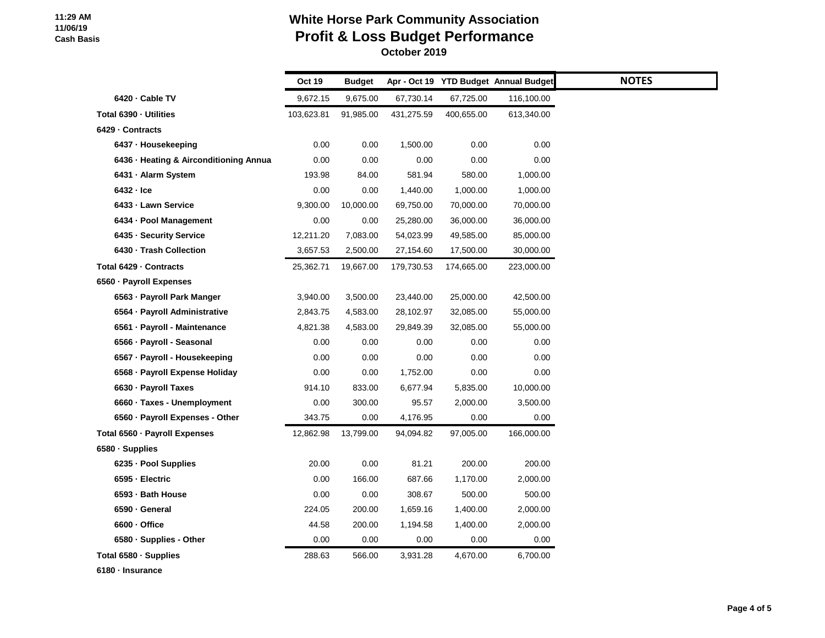### **White Horse Park Community Association Profit & Loss Budget Performance October 2019**

|                                        | Oct 19     | <b>Budget</b> |            |            | Apr - Oct 19 YTD Budget Annual Budget |  |
|----------------------------------------|------------|---------------|------------|------------|---------------------------------------|--|
| 6420 · Cable TV                        | 9,672.15   | 9,675.00      | 67,730.14  | 67,725.00  | 116,100.00                            |  |
| Total 6390 - Utilities                 | 103,623.81 | 91,985.00     | 431,275.59 | 400,655.00 | 613,340.00                            |  |
| 6429 - Contracts                       |            |               |            |            |                                       |  |
| 6437 · Housekeeping                    | 0.00       | 0.00          | 1,500.00   | 0.00       | 0.00                                  |  |
| 6436 · Heating & Airconditioning Annua | 0.00       | 0.00          | 0.00       | 0.00       | 0.00                                  |  |
| 6431 - Alarm System                    | 193.98     | 84.00         | 581.94     | 580.00     | 1,000.00                              |  |
| 6432 - Ice                             | 0.00       | 0.00          | 1,440.00   | 1,000.00   | 1,000.00                              |  |
| 6433 - Lawn Service                    | 9,300.00   | 10,000.00     | 69,750.00  | 70,000.00  | 70,000.00                             |  |
| 6434 · Pool Management                 | 0.00       | 0.00          | 25,280.00  | 36,000.00  | 36,000.00                             |  |
| 6435 - Security Service                | 12,211.20  | 7,083.00      | 54,023.99  | 49,585.00  | 85,000.00                             |  |
| 6430 - Trash Collection                | 3,657.53   | 2,500.00      | 27,154.60  | 17,500.00  | 30,000.00                             |  |
| Total 6429 - Contracts                 | 25,362.71  | 19,667.00     | 179,730.53 | 174,665.00 | 223,000.00                            |  |
| 6560 - Payroll Expenses                |            |               |            |            |                                       |  |
| 6563 - Payroll Park Manger             | 3,940.00   | 3,500.00      | 23,440.00  | 25,000.00  | 42,500.00                             |  |
| 6564 - Payroll Administrative          | 2,843.75   | 4,583.00      | 28,102.97  | 32,085.00  | 55,000.00                             |  |
| 6561 · Payroll - Maintenance           | 4,821.38   | 4,583.00      | 29,849.39  | 32,085.00  | 55,000.00                             |  |
| 6566 - Payroll - Seasonal              | 0.00       | 0.00          | 0.00       | 0.00       | 0.00                                  |  |
| 6567 · Payroll - Housekeeping          | 0.00       | 0.00          | 0.00       | 0.00       | 0.00                                  |  |
| 6568 - Payroll Expense Holiday         | 0.00       | 0.00          | 1,752.00   | 0.00       | 0.00                                  |  |
| 6630 · Payroll Taxes                   | 914.10     | 833.00        | 6,677.94   | 5,835.00   | 10,000.00                             |  |
| 6660 · Taxes - Unemployment            | 0.00       | 300.00        | 95.57      | 2,000.00   | 3,500.00                              |  |
| 6560 - Payroll Expenses - Other        | 343.75     | 0.00          | 4,176.95   | 0.00       | 0.00                                  |  |
| Total 6560 - Payroll Expenses          | 12,862.98  | 13,799.00     | 94,094.82  | 97,005.00  | 166,000.00                            |  |
| 6580 · Supplies                        |            |               |            |            |                                       |  |
| 6235 - Pool Supplies                   | 20.00      | 0.00          | 81.21      | 200.00     | 200.00                                |  |
| 6595 - Electric                        | 0.00       | 166.00        | 687.66     | 1,170.00   | 2,000.00                              |  |
| 6593 - Bath House                      | 0.00       | 0.00          | 308.67     | 500.00     | 500.00                                |  |
| 6590 · General                         | 224.05     | 200.00        | 1,659.16   | 1,400.00   | 2,000.00                              |  |
| 6600 · Office                          | 44.58      | 200.00        | 1,194.58   | 1,400.00   | 2,000.00                              |  |
| 6580 - Supplies - Other                | 0.00       | 0.00          | 0.00       | 0.00       | 0.00                                  |  |
| Total 6580 · Supplies                  | 288.63     | 566.00        | 3,931.28   | 4,670.00   | 6,700.00                              |  |

**6180 · Insurance**